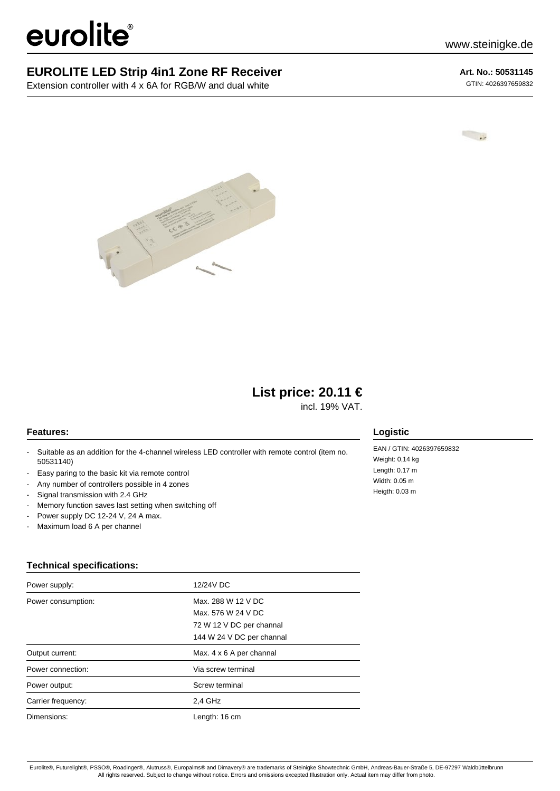# eurolite®

### **EUROLITE LED Strip 4in1 Zone RF Receiver**

Extension controller with 4 x 6A for RGB/W and dual white

**Art. No.: 50531145** GTIN: 4026397659832





## **List price: 20.11 €**

incl. 19% VAT.

#### **Features:**

- Suitable as an addition for the 4-channel wireless LED controller with remote control (item no. 50531140)
- Easy paring to the basic kit via remote control
- Any number of controllers possible in 4 zones
- Signal transmission with 2.4 GHz
- Memory function saves last setting when switching off
- Power supply DC 12-24 V, 24 A max.
- Maximum load 6 A per channel

#### **Technical specifications:**

| Power supply:      | 12/24V DC                 |
|--------------------|---------------------------|
| Power consumption: | Max. 288 W 12 V DC        |
|                    | Max, 576 W 24 V DC        |
|                    | 72 W 12 V DC per channal  |
|                    | 144 W 24 V DC per channal |
| Output current:    | Max. 4 x 6 A per channal  |
| Power connection:  | Via screw terminal        |
| Power output:      | Screw terminal            |
| Carrier frequency: | 2,4 GHz                   |
| Dimensions:        | Length: 16 cm             |

#### **Logistic**

EAN / GTIN: 4026397659832 Weight: 0,14 kg Length: 0.17 m Width: 0.05 m Heigth: 0.03 m

Eurolite®, Futurelight®, PSSO®, Roadinger®, Alutruss®, Europalms® and Dimavery® are trademarks of Steinigke Showtechnic GmbH, Andreas-Bauer-Straße 5, DE-97297 Waldbüttelbrunn All rights reserved. Subject to change without notice. Errors and omissions excepted.Illustration only. Actual item may differ from photo.